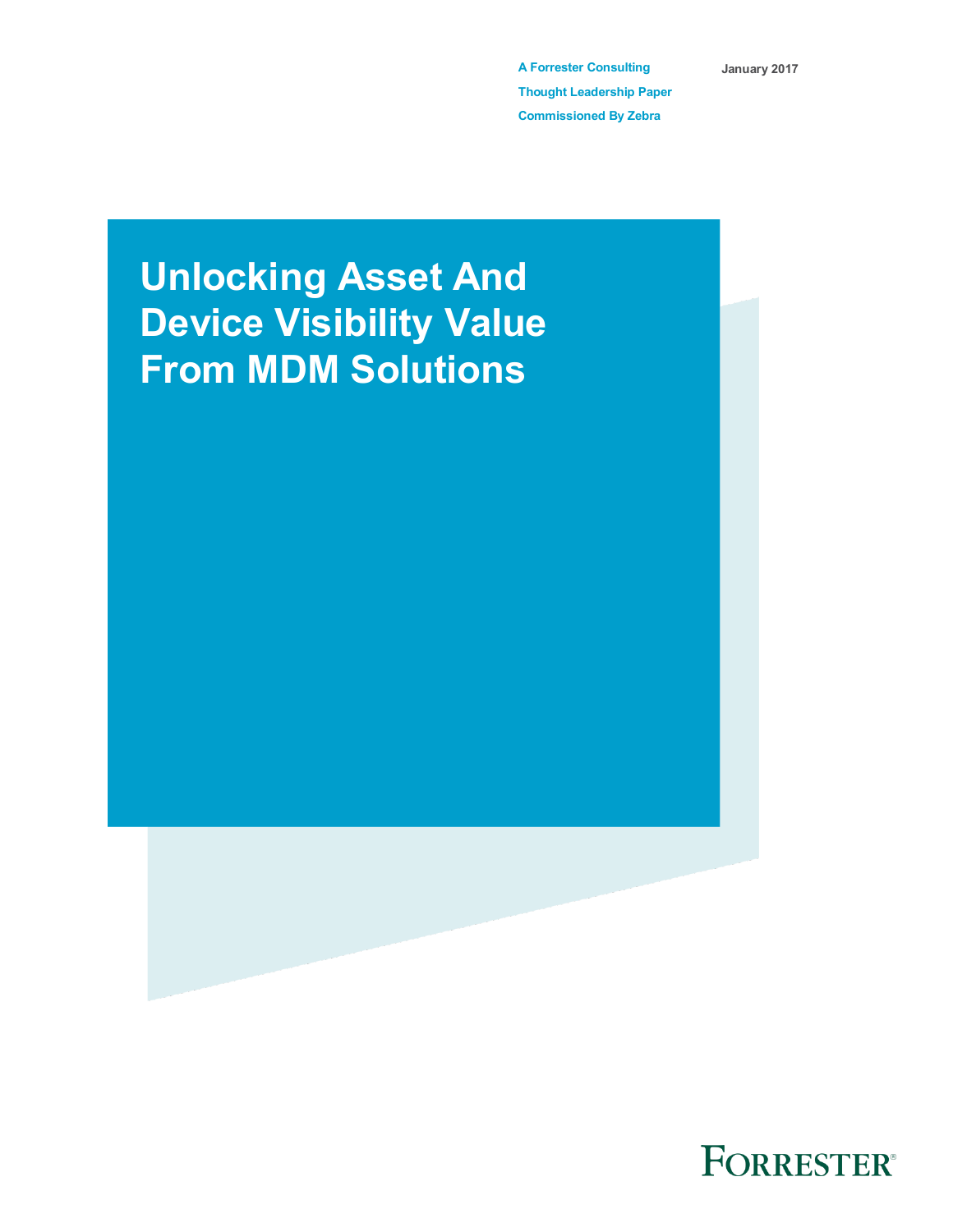**A Forrester Consulting Thought Leadership Paper Commissioned By Zebra**

**January 2017**

# **Unlocking Asset And Device Visibility Value From MDM Solutions**



FORRESTER®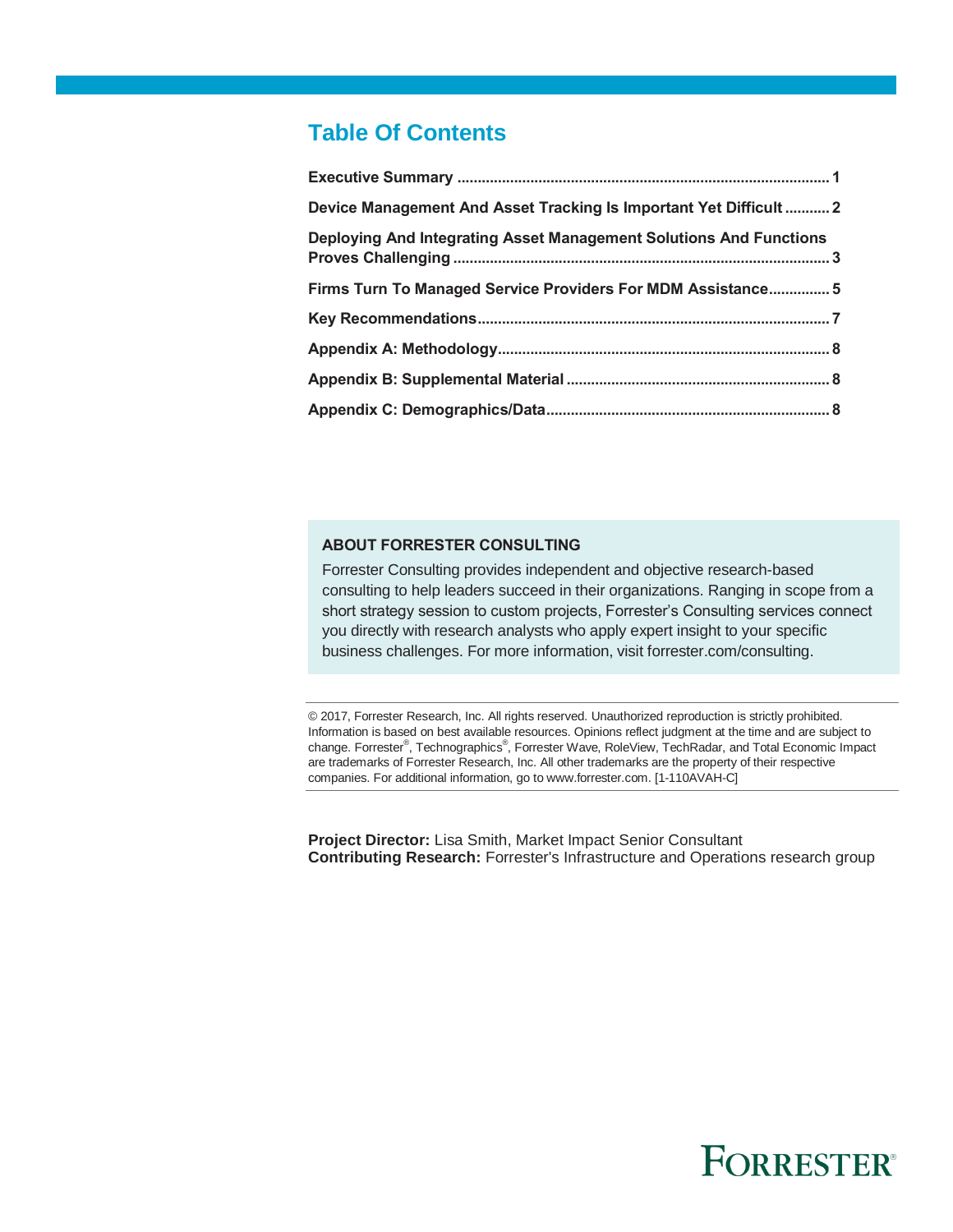# **Table Of Contents**

| Device Management And Asset Tracking Is Important Yet Difficult  2 |
|--------------------------------------------------------------------|
| Deploying And Integrating Asset Management Solutions And Functions |
| Firms Turn To Managed Service Providers For MDM Assistance 5       |
|                                                                    |
|                                                                    |
|                                                                    |
|                                                                    |
|                                                                    |

### **ABOUT FORRESTER CONSULTING**

Forrester Consulting provides independent and objective research-based consulting to help leaders succeed in their organizations. Ranging in scope from a short strategy session to custom projects, Forrester's Consulting services connect you directly with research analysts who apply expert insight to your specific business challenges. For more information, visit forrester.com/consulting.

© 2017, Forrester Research, Inc. All rights reserved. Unauthorized reproduction is strictly prohibited. Information is based on best available resources. Opinions reflect judgment at the time and are subject to change. Forrester®, Technographics®, Forrester Wave, RoleView, TechRadar, and Total Economic Impact are trademarks of Forrester Research, Inc. All other trademarks are the property of their respective companies. For additional information, go to www.forrester.com. [1-110AVAH-C]

**Project Director:** Lisa Smith, Market Impact Senior Consultant **Contributing Research:** Forrester's Infrastructure and Operations research group

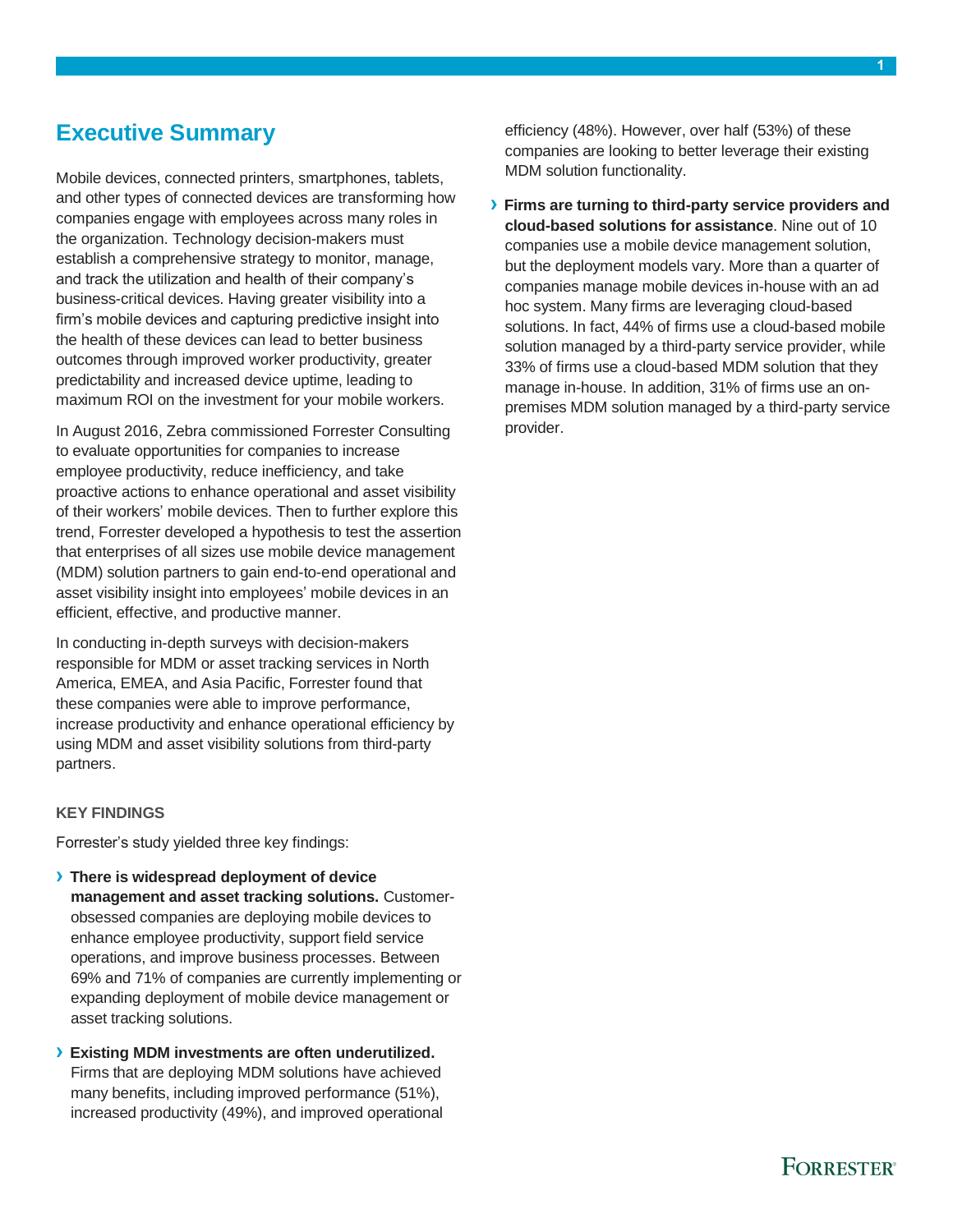### <span id="page-2-0"></span>**Executive Summary**

Mobile devices, connected printers, smartphones, tablets, and other types of connected devices are transforming how companies engage with employees across many roles in the organization. Technology decision-makers must establish a comprehensive strategy to monitor, manage, and track the utilization and health of their company's business-critical devices. Having greater visibility into a firm's mobile devices and capturing predictive insight into the health of these devices can lead to better business outcomes through improved worker productivity, greater predictability and increased device uptime, leading to maximum ROI on the investment for your mobile workers.

In August 2016, Zebra commissioned Forrester Consulting to evaluate opportunities for companies to increase employee productivity, reduce inefficiency, and take proactive actions to enhance operational and asset visibility of their workers' mobile devices. Then to further explore this trend, Forrester developed a hypothesis to test the assertion that enterprises of all sizes use mobile device management (MDM) solution partners to gain end-to-end operational and asset visibility insight into employees' mobile devices in an efficient, effective, and productive manner.

In conducting in-depth surveys with decision-makers responsible for MDM or asset tracking services in North America, EMEA, and Asia Pacific, Forrester found that these companies were able to improve performance, increase productivity and enhance operational efficiency by using MDM and asset visibility solutions from third-party partners.

### **KEY FINDINGS**

Forrester's study yielded three key findings:

- **› There is widespread deployment of device management and asset tracking solutions.** Customerobsessed companies are deploying mobile devices to enhance employee productivity, support field service operations, and improve business processes. Between 69% and 71% of companies are currently implementing or expanding deployment of mobile device management or asset tracking solutions.
- **› Existing MDM investments are often underutilized.** Firms that are deploying MDM solutions have achieved many benefits, including improved performance (51%), increased productivity (49%), and improved operational

efficiency (48%). However, over half (53%) of these companies are looking to better leverage their existing MDM solution functionality.

**› Firms are turning to third-party service providers and cloud-based solutions for assistance**. Nine out of 10 companies use a mobile device management solution, but the deployment models vary. More than a quarter of companies manage mobile devices in-house with an ad hoc system. Many firms are leveraging cloud-based solutions. In fact, 44% of firms use a cloud-based mobile solution managed by a third-party service provider, while 33% of firms use a cloud-based MDM solution that they manage in-house. In addition, 31% of firms use an onpremises MDM solution managed by a third-party service provider.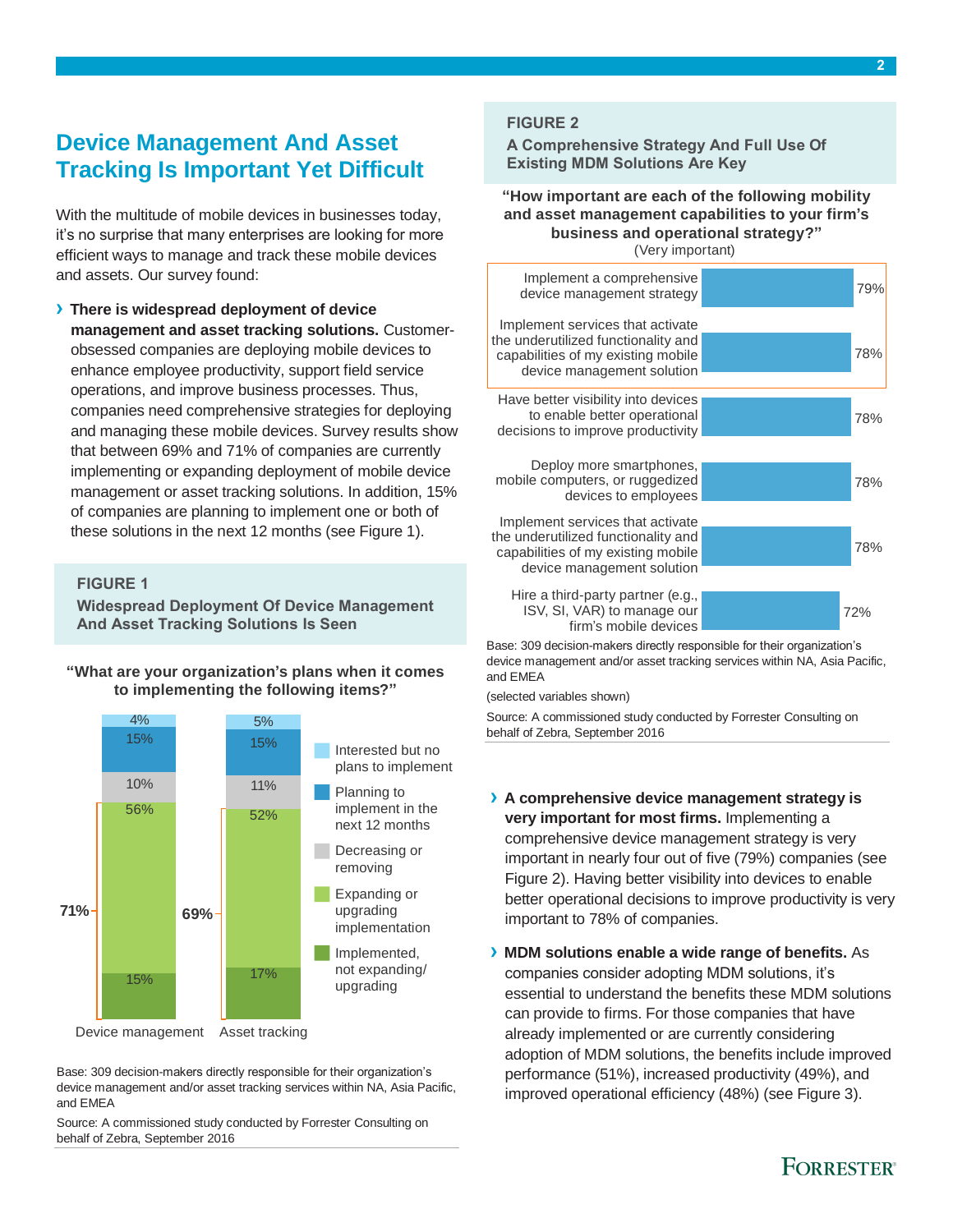# <span id="page-3-0"></span>**Device Management And Asset Tracking Is Important Yet Difficult**

With the multitude of mobile devices in businesses today, it's no surprise that many enterprises are looking for more efficient ways to manage and track these mobile devices and assets. Our survey found:

**› There is widespread deployment of device management and asset tracking solutions.** Customerobsessed companies are deploying mobile devices to enhance employee productivity, support field service operations, and improve business processes. Thus, companies need comprehensive strategies for deploying and managing these mobile devices. Survey results show that between 69% and 71% of companies are currently implementing or expanding deployment of mobile device management or asset tracking solutions. In addition, 15% of companies are planning to implement one or both of these solutions in the next 12 months (see Figure 1).

#### **FIGURE 1**

**Widespread Deployment Of Device Management And Asset Tracking Solutions Is Seen**

**"What are your organization's plans when it comes to implementing the following items?"**



Base: 309 decision-makers directly responsible for their organization's device management and/or asset tracking services within NA, Asia Pacific, and EMEA

Source: A commissioned study conducted by Forrester Consulting on behalf of Zebra, September 2016

#### **FIGURE 2**

**A Comprehensive Strategy And Full Use Of Existing MDM Solutions Are Key**

**"How important are each of the following mobility and asset management capabilities to your firm's business and operational strategy?"** (Very important)



Base: 309 decision-makers directly responsible for their organization's device management and/or asset tracking services within NA, Asia Pacific, and EMEA

(selected variables shown)

Source: A commissioned study conducted by Forrester Consulting on behalf of Zebra, September 2016

- **› A comprehensive device management strategy is very important for most firms.** Implementing a comprehensive device management strategy is very important in nearly four out of five (79%) companies (see Figure 2). Having better visibility into devices to enable better operational decisions to improve productivity is very important to 78% of companies.
- **› MDM solutions enable a wide range of benefits.** As companies consider adopting MDM solutions, it's essential to understand the benefits these MDM solutions can provide to firms. For those companies that have already implemented or are currently considering adoption of MDM solutions, the benefits include improved performance (51%), increased productivity (49%), and improved operational efficiency (48%) (see Figure 3).

### **FORRESTER®**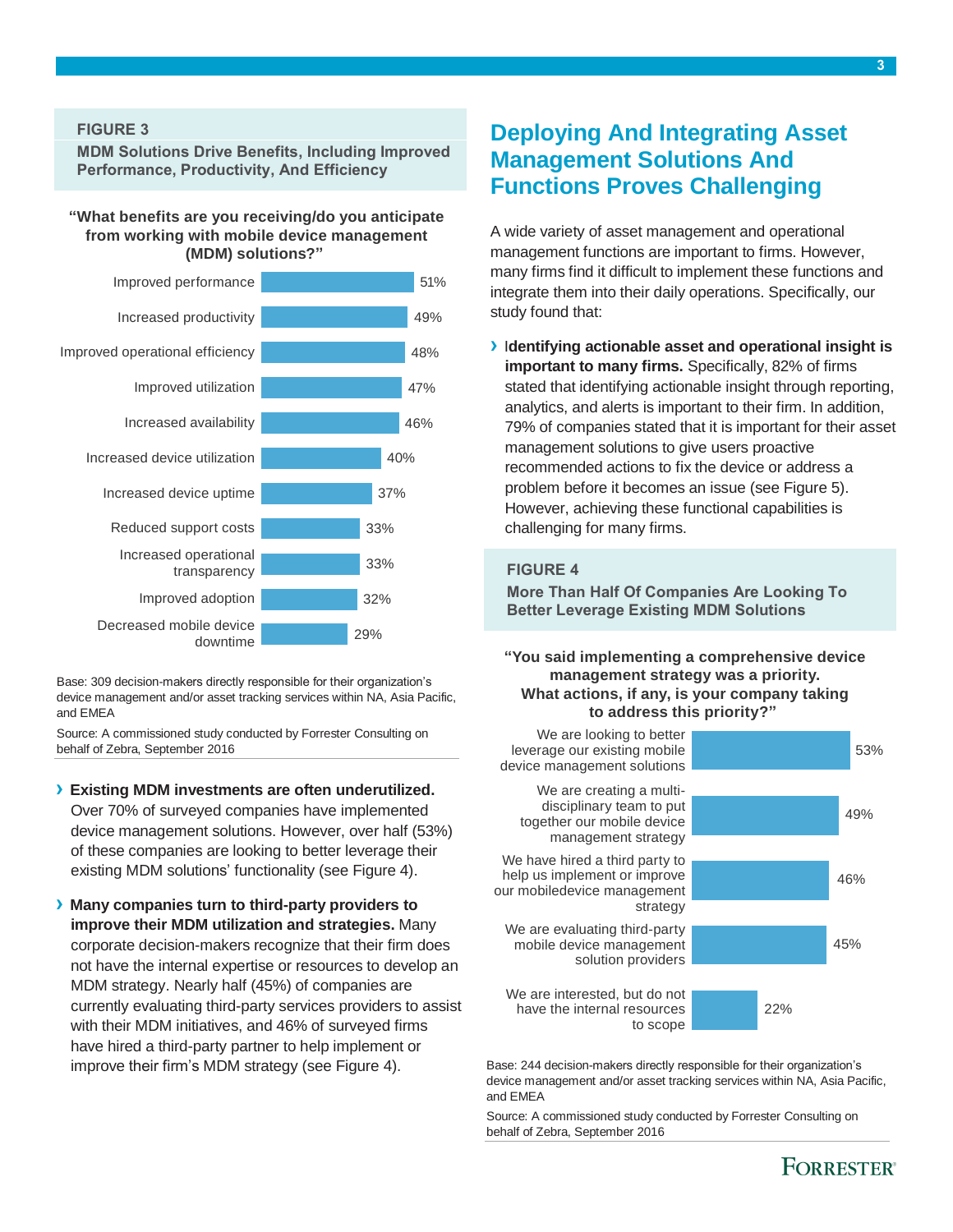**MDM Solutions Drive Benefits, Including Improved Performance, Productivity, And Efficiency**

#### **"What benefits are you receiving/do you anticipate from working with mobile device management (MDM) solutions?"**



Base: 309 decision-makers directly responsible for their organization's device management and/or asset tracking services within NA, Asia Pacific, and EMEA

Source: A commissioned study conducted by Forrester Consulting on behalf of Zebra, September 2016

#### **› Existing MDM investments are often underutilized.**

Over 70% of surveyed companies have implemented device management solutions. However, over half (53%) of these companies are looking to better leverage their existing MDM solutions' functionality (see Figure 4).

**› Many companies turn to third-party providers to improve their MDM utilization and strategies.** Many corporate decision-makers recognize that their firm does not have the internal expertise or resources to develop an MDM strategy. Nearly half (45%) of companies are currently evaluating third-party services providers to assist with their MDM initiatives, and 46% of surveyed firms have hired a third-party partner to help implement or improve their firm's MDM strategy (see Figure 4).

### <span id="page-4-0"></span>**Deploying And Integrating Asset Management Solutions And Functions Proves Challenging**

A wide variety of asset management and operational management functions are important to firms. However, many firms find it difficult to implement these functions and integrate them into their daily operations. Specifically, our study found that:

**›** I**dentifying actionable asset and operational insight is important to many firms.** Specifically, 82% of firms stated that identifying actionable insight through reporting, analytics, and alerts is important to their firm. In addition, 79% of companies stated that it is important for their asset management solutions to give users proactive recommended actions to fix the device or address a problem before it becomes an issue (see Figure 5). However, achieving these functional capabilities is challenging for many firms.

#### **FIGURE 4**

**More Than Half Of Companies Are Looking To Better Leverage Existing MDM Solutions**

**"You said implementing a comprehensive device management strategy was a priority. What actions, if any, is your company taking to address this priority?"**



Base: 244 decision-makers directly responsible for their organization's device management and/or asset tracking services within NA, Asia Pacific, and EMEA

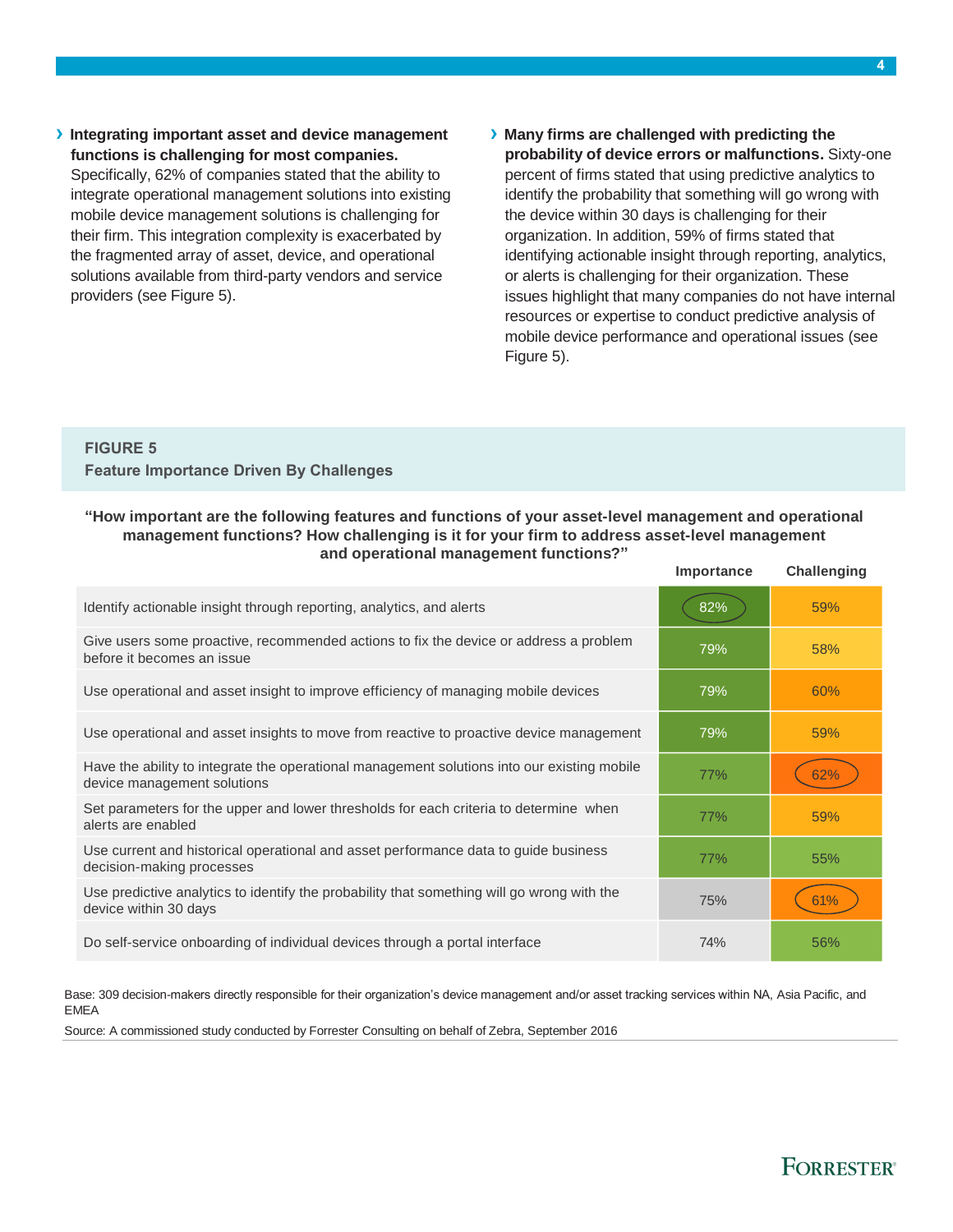- **› Integrating important asset and device management functions is challenging for most companies.** Specifically, 62% of companies stated that the ability to integrate operational management solutions into existing mobile device management solutions is challenging for their firm. This integration complexity is exacerbated by the fragmented array of asset, device, and operational solutions available from third-party vendors and service providers (see Figure 5).
- **› Many firms are challenged with predicting the probability of device errors or malfunctions.** Sixty-one percent of firms stated that using predictive analytics to identify the probability that something will go wrong with the device within 30 days is challenging for their organization. In addition, 59% of firms stated that identifying actionable insight through reporting, analytics, or alerts is challenging for their organization. These issues highlight that many companies do not have internal resources or expertise to conduct predictive analysis of mobile device performance and operational issues (see Figure 5).

### **FIGURE 5 Feature Importance Driven By Challenges**

#### **"How important are the following features and functions of your asset-level management a nd operational management functions? How challenging is it for your firm to address asset-level management and operational management functions?"**

|                                                                                                                            | Importance | <b>Challenging</b> |
|----------------------------------------------------------------------------------------------------------------------------|------------|--------------------|
| Identify actionable insight through reporting, analytics, and alerts                                                       | 82%        | 59%                |
| Give users some proactive, recommended actions to fix the device or address a problem<br>before it becomes an issue        | 79%        | 58%                |
| Use operational and asset insight to improve efficiency of managing mobile devices                                         | 79%        | 60%                |
| Use operational and asset insights to move from reactive to proactive device management                                    | 79%        | 59%                |
| Have the ability to integrate the operational management solutions into our existing mobile<br>device management solutions | 77%        | 62%                |
| Set parameters for the upper and lower thresholds for each criteria to determine when<br>alerts are enabled                | 77%        | 59%                |
| Use current and historical operational and asset performance data to guide business<br>decision-making processes           | 77%        | 55%                |
| Use predictive analytics to identify the probability that something will go wrong with the<br>device within 30 days        | 75%        |                    |
| Do self-service onboarding of individual devices through a portal interface                                                | 74%        | 56%                |

Base: 309 decision-makers directly responsible for their organization's device management and/or asset tracking services within NA, Asia Pacific, and EMEA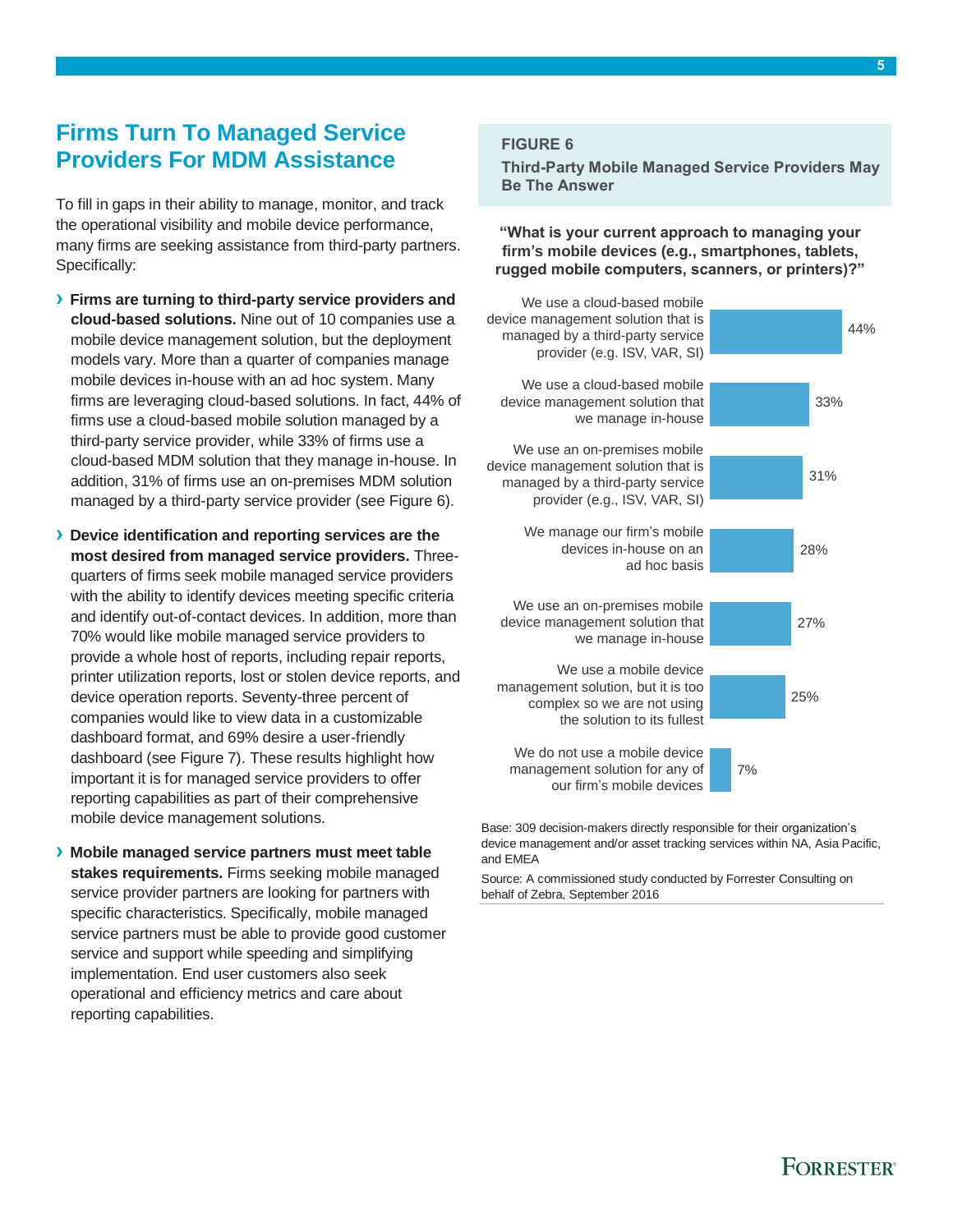# <span id="page-6-0"></span>**Firms Turn To Managed Service Providers For MDM Assistance**

To fill in gaps in their ability to manage, monitor, and track the operational visibility and mobile device performance, many firms are seeking assistance from third-party partners. Specifically:

- **› Firms are turning to third-party service providers and cloud-based solutions.** Nine out of 10 companies use a mobile device management solution, but the deployment models vary. More than a quarter of companies manage mobile devices in-house with an ad hoc system. Many firms are leveraging cloud-based solutions. In fact, 44% of firms use a cloud-based mobile solution managed by a third-party service provider, while 33% of firms use a cloud-based MDM solution that they manage in-house. In addition, 31% of firms use an on-premises MDM solution managed by a third-party service provider (see Figure 6).
- **› Device identification and reporting services are the most desired from managed service providers.** Threequarters of firms seek mobile managed service providers with the ability to identify devices meeting specific criteria and identify out-of-contact devices. In addition, more than 70% would like mobile managed service providers to provide a whole host of reports, including repair reports, printer utilization reports, lost or stolen device reports, and device operation reports. Seventy-three percent of companies would like to view data in a customizable dashboard format, and 69% desire a user-friendly dashboard (see Figure 7). These results highlight how important it is for managed service providers to offer reporting capabilities as part of their comprehensive mobile device management solutions.
- **› Mobile managed service partners must meet table stakes requirements.** Firms seeking mobile managed service provider partners are looking for partners with specific characteristics. Specifically, mobile managed service partners must be able to provide good customer service and support while speeding and simplifying implementation. End user customers also seek operational and efficiency metrics and care about reporting capabilities.

### **FIGURE 6**

**Third-Party Mobile Managed Service Providers May Be The Answer**

**"What is your current approach to managing your firm's mobile devices (e.g., smartphones, tablets, rugged mobile computers, scanners, or printers)?"**



Base: 309 decision-makers directly responsible for their organization's device management and/or asset tracking services within NA, Asia Pacific, and EMEA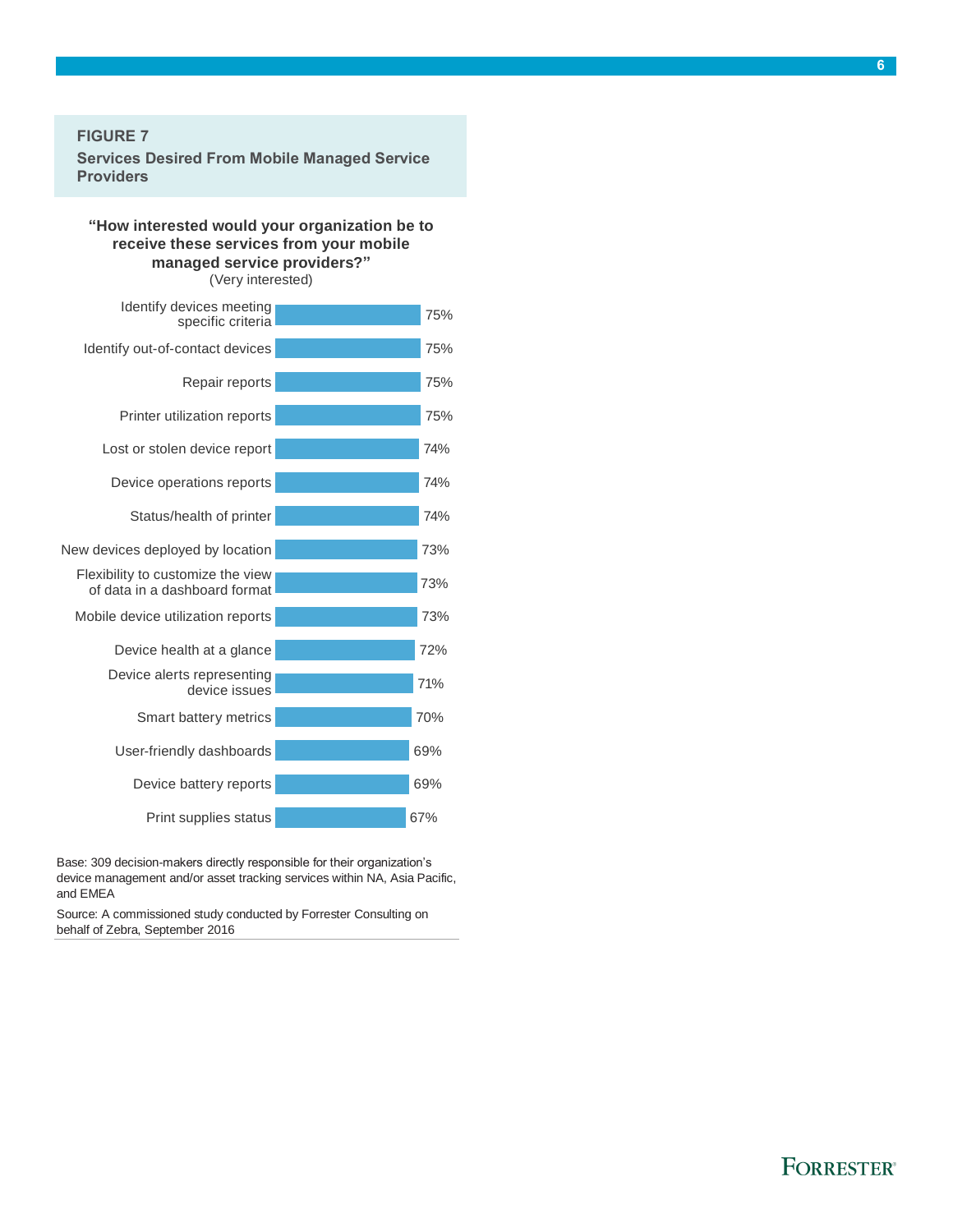#### **FIGURE 7**

**Services Desired From Mobile Managed Service Providers**

### **"How interested would your organization be to receive these services from your mobile managed service providers?"**

(Very interested)

| Identify devices meeting<br>specific criteria                      | 75% |
|--------------------------------------------------------------------|-----|
| Identify out-of-contact devices                                    | 75% |
| Repair reports                                                     | 75% |
| Printer utilization reports                                        | 75% |
| Lost or stolen device report                                       | 74% |
| Device operations reports                                          | 74% |
| Status/health of printer                                           | 74% |
| New devices deployed by location                                   | 73% |
| Flexibility to customize the view<br>of data in a dashboard format | 73% |
| Mobile device utilization reports                                  | 73% |
| Device health at a glance                                          | 72% |
| Device alerts representing<br>device issues                        | 71% |
| Smart battery metrics                                              | 70% |
| User-friendly dashboards                                           | 69% |
| Device battery reports                                             | 69% |
| Print supplies status                                              | 67% |

Base: 309 decision-makers directly responsible for their organization's device management and/or asset tracking services within NA, Asia Pacific, and EMEA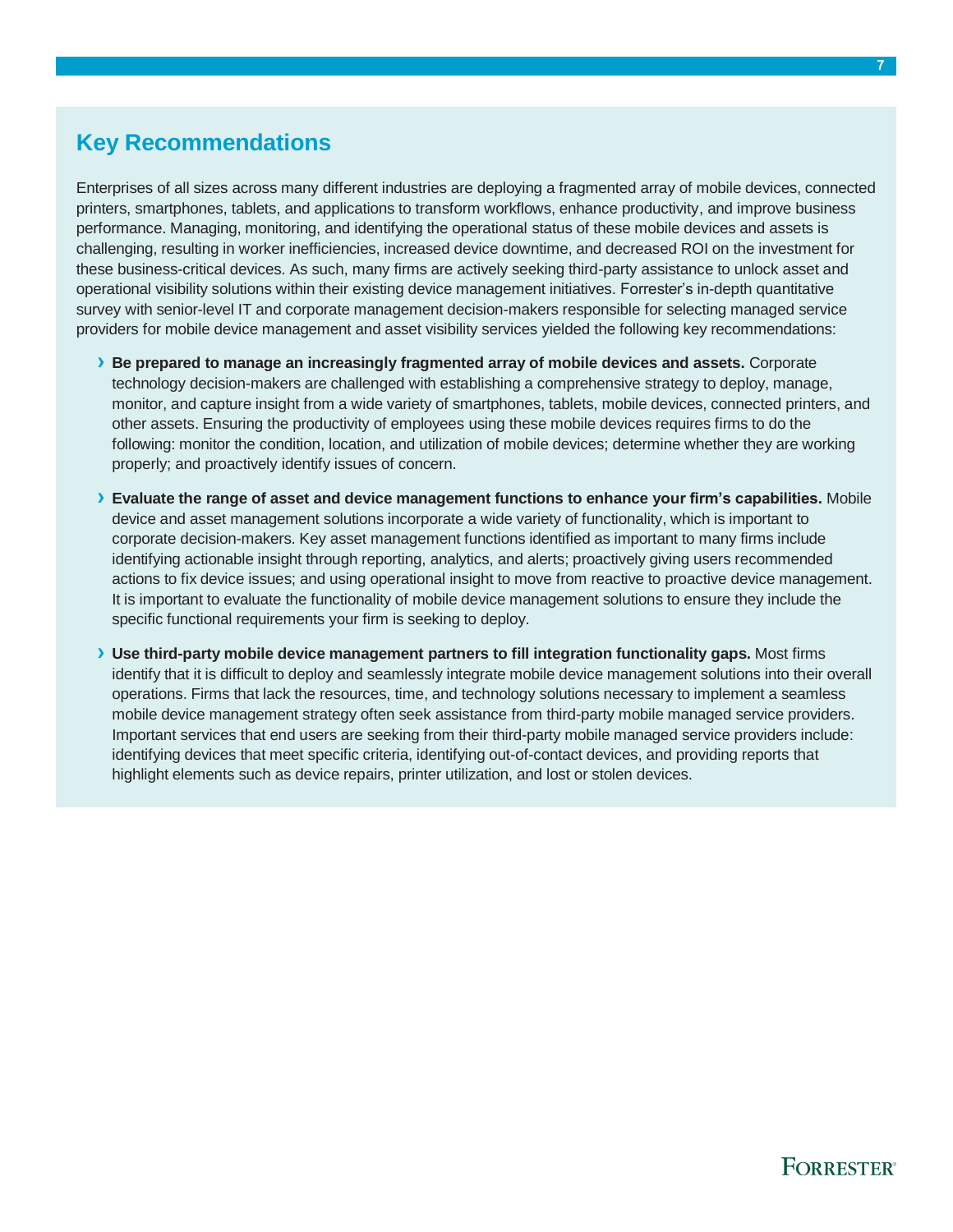# <span id="page-8-0"></span>**Key Recommendations**

Enterprises of all sizes across many different industries are deploying a fragmented array of mobile devices, connected printers, smartphones, tablets, and applications to transform workflows, enhance productivity, and improve business performance. Managing, monitoring, and identifying the operational status of these mobile devices and assets is challenging, resulting in worker inefficiencies, increased device downtime, and decreased ROI on the investment for these business-critical devices. As such, many firms are actively seeking third-party assistance to unlock asset and operational visibility solutions within their existing device management initiatives. Forrester's in-depth quantitative survey with senior-level IT and corporate management decision-makers responsible for selecting managed service providers for mobile device management and asset visibility services yielded the following key recommendations:

- **› Be prepared to manage an increasingly fragmented array of mobile devices and assets.** Corporate technology decision-makers are challenged with establishing a comprehensive strategy to deploy, manage, monitor, and capture insight from a wide variety of smartphones, tablets, mobile devices, connected printers, and other assets. Ensuring the productivity of employees using these mobile devices requires firms to do the following: monitor the condition, location, and utilization of mobile devices; determine whether they are working properly; and proactively identify issues of concern.
- **› Evaluate the range of asset and device management functions to enhance your firm's capabilities.** Mobile device and asset management solutions incorporate a wide variety of functionality, which is important to corporate decision-makers. Key asset management functions identified as important to many firms include identifying actionable insight through reporting, analytics, and alerts; proactively giving users recommended actions to fix device issues; and using operational insight to move from reactive to proactive device management. It is important to evaluate the functionality of mobile device management solutions to ensure they include the specific functional requirements your firm is seeking to deploy.
- **› Use third-party mobile device management partners to fill integration functionality gaps.** Most firms identify that it is difficult to deploy and seamlessly integrate mobile device management solutions into their overall operations. Firms that lack the resources, time, and technology solutions necessary to implement a seamless mobile device management strategy often seek assistance from third-party mobile managed service providers. Important services that end users are seeking from their third-party mobile managed service providers include: identifying devices that meet specific criteria, identifying out-of-contact devices, and providing reports that highlight elements such as device repairs, printer utilization, and lost or stolen devices.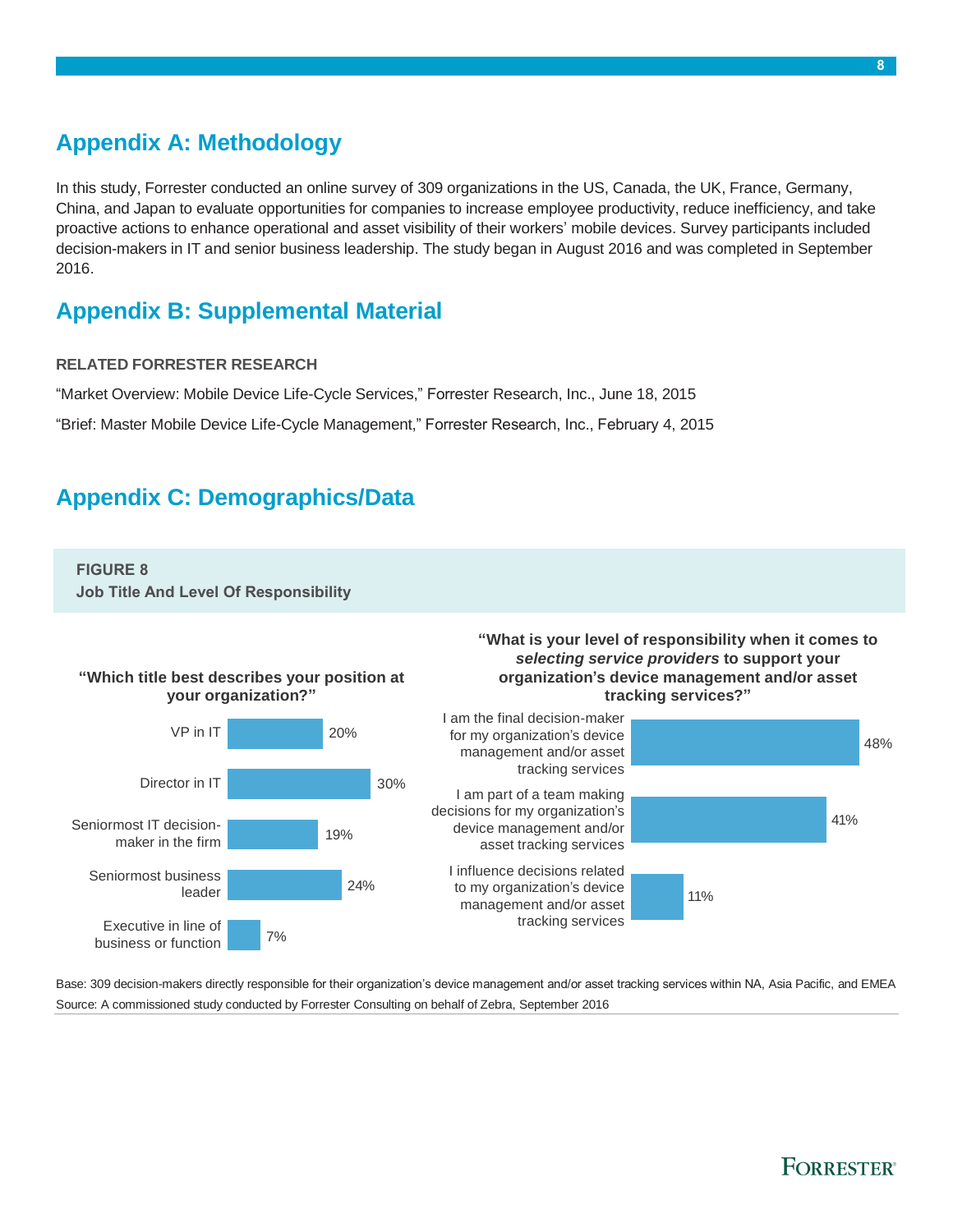# <span id="page-9-0"></span>**Appendix A: Methodology**

In this study, Forrester conducted an online survey of 309 organizations in the US, Canada, the UK, France, Germany, China, and Japan to evaluate opportunities for companies to increase employee productivity, reduce inefficiency, and take proactive actions to enhance operational and asset visibility of their workers' mobile devices. Survey participants included decision-makers in IT and senior business leadership. The study began in August 2016 and was completed in September 2016.

### <span id="page-9-1"></span>**Appendix B: Supplemental Material**

#### **RELATED FORRESTER RESEARCH**

"Market Overview: Mobile Device Life-Cycle Services," Forrester Research, Inc., June 18, 2015

"Brief: Master Mobile Device Life-Cycle Management," Forrester Research, Inc., February 4, 2015

### <span id="page-9-2"></span>**Appendix C: Demographics/Data**

#### **FIGURE 8**

**Job Title And Level Of Responsibility**



Base: 309 decision-makers directly responsible for their organization's device management and/or asset tracking services within NA, Asia Pacific, and EMEA Source: A commissioned study conducted by Forrester Consulting on behalf of Zebra, September 2016

### **FORRESTER**<sup>®</sup>